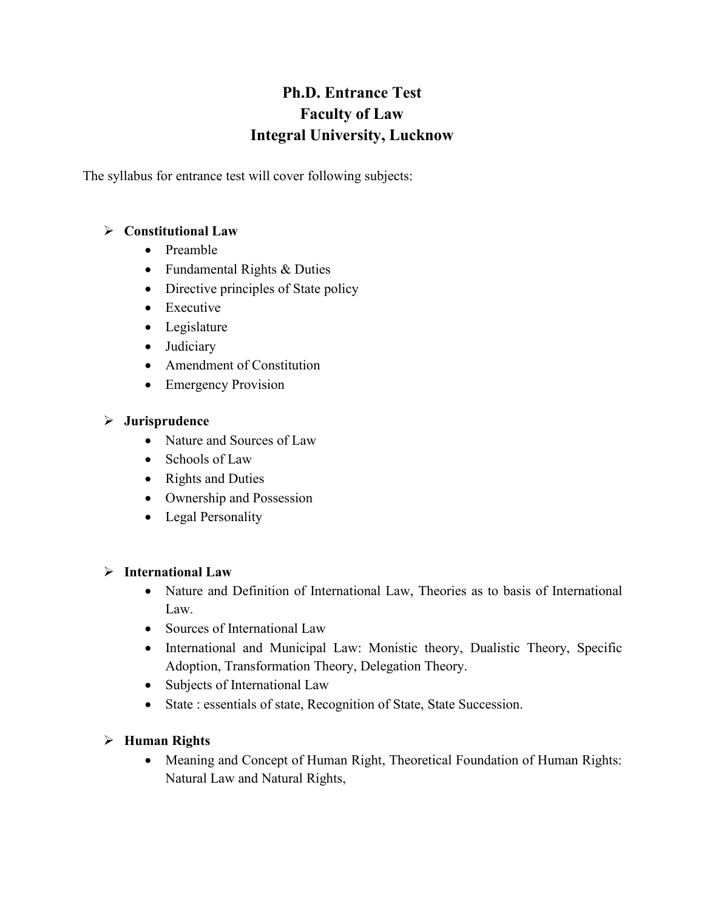# **Ph.D. Entrance Test Faculty of Law Integral University, Lucknow**

The syllabus for entrance test will cover following subjects:

### **Constitutional Law**

- Preamble
- Fundamental Rights & Duties
- Directive principles of State policy
- Executive
- Legislature
- Judiciary
- Amendment of Constitution
- Emergency Provision

### **Jurisprudence**

- Nature and Sources of Law
- Schools of Law
- Rights and Duties
- Ownership and Possession
- Legal Personality

### **International Law**

- Nature and Definition of International Law, Theories as to basis of International Law.
- Sources of International Law
- International and Municipal Law: Monistic theory, Dualistic Theory, Specific Adoption, Transformation Theory, Delegation Theory.
- Subjects of International Law
- State : essentials of state, Recognition of State, State Succession.

### **Human Rights**

• Meaning and Concept of Human Right, Theoretical Foundation of Human Rights: Natural Law and Natural Rights,